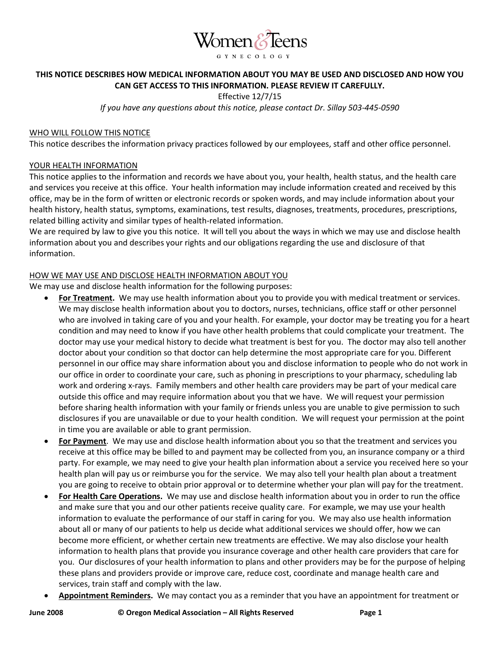

# **THIS NOTICE DESCRIBES HOW MEDICAL INFORMATION ABOUT YOU MAY BE USED AND DISCLOSED AND HOW YOU CAN GET ACCESS TO THIS INFORMATION. PLEASE REVIEW IT CAREFULLY.**

Effective 12/7/15

*If you have any questions about this notice, please contact Dr. Sillay 503-445-0590*

### WHO WILL FOLLOW THIS NOTICE

This notice describes the information privacy practices followed by our employees, staff and other office personnel.

### YOUR HEALTH INFORMATION

This notice applies to the information and records we have about you, your health, health status, and the health care and services you receive at this office. Your health information may include information created and received by this office, may be in the form of written or electronic records or spoken words, and may include information about your health history, health status, symptoms, examinations, test results, diagnoses, treatments, procedures, prescriptions, related billing activity and similar types of health-related information.

We are required by law to give you this notice. It will tell you about the ways in which we may use and disclose health information about you and describes your rights and our obligations regarding the use and disclosure of that information.

#### HOW WE MAY USE AND DISCLOSE HEALTH INFORMATION ABOUT YOU

We may use and disclose health information for the following purposes:

- **For Treatment.** We may use health information about you to provide you with medical treatment or services. We may disclose health information about you to doctors, nurses, technicians, office staff or other personnel who are involved in taking care of you and your health. For example, your doctor may be treating you for a heart condition and may need to know if you have other health problems that could complicate your treatment. The doctor may use your medical history to decide what treatment is best for you. The doctor may also tell another doctor about your condition so that doctor can help determine the most appropriate care for you. Different personnel in our office may share information about you and disclose information to people who do not work in our office in order to coordinate your care, such as phoning in prescriptions to your pharmacy, scheduling lab work and ordering x-rays. Family members and other health care providers may be part of your medical care outside this office and may require information about you that we have. We will request your permission before sharing health information with your family or friends unless you are unable to give permission to such disclosures if you are unavailable or due to your health condition. We will request your permission at the point in time you are available or able to grant permission.
- **For Payment**.We may use and disclose health information about you so that the treatment and services you receive at this office may be billed to and payment may be collected from you, an insurance company or a third party. For example, we may need to give your health plan information about a service you received here so your health plan will pay us or reimburse you for the service. We may also tell your health plan about a treatment you are going to receive to obtain prior approval or to determine whether your plan will pay for the treatment.
- **For Health Care Operations.** We may use and disclose health information about you in order to run the office and make sure that you and our other patients receive quality care. For example, we may use your health information to evaluate the performance of our staff in caring for you. We may also use health information about all or many of our patients to help us decide what additional services we should offer, how we can become more efficient, or whether certain new treatments are effective. We may also disclose your health information to health plans that provide you insurance coverage and other health care providers that care for you. Our disclosures of your health information to plans and other providers may be for the purpose of helping these plans and providers provide or improve care, reduce cost, coordinate and manage health care and services, train staff and comply with the law.
- **Appointment Reminders.** We may contact you as a reminder that you have an appointment for treatment or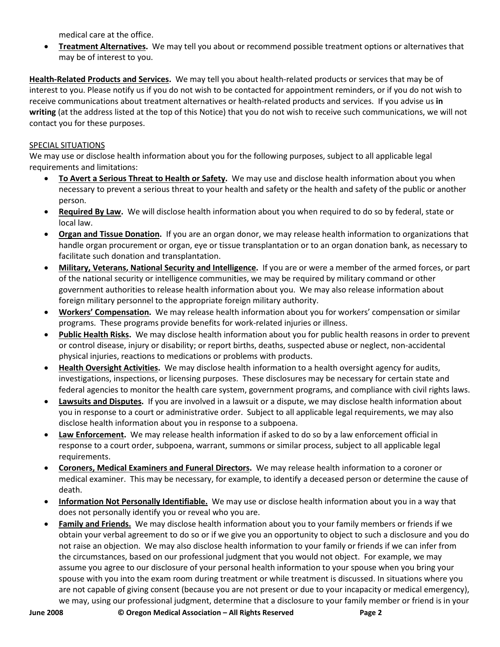medical care at the office.

• **Treatment Alternatives.** We may tell you about or recommend possible treatment options or alternatives that may be of interest to you.

**Health-Related Products and Services.** We may tell you about health-related products or services that may be of interest to you. Please notify us if you do not wish to be contacted for appointment reminders, or if you do not wish to receive communications about treatment alternatives or health-related products and services. If you advise us **in writing** (at the address listed at the top of this Notice) that you do not wish to receive such communications, we will not contact you for these purposes.

# SPECIAL SITUATIONS

We may use or disclose health information about you for the following purposes, subject to all applicable legal requirements and limitations:

- **To Avert a Serious Threat to Health or Safety.** We may use and disclose health information about you when necessary to prevent a serious threat to your health and safety or the health and safety of the public or another person.
- **Required By Law.** We will disclose health information about you when required to do so by federal, state or local law.
- **Organ and Tissue Donation.** If you are an organ donor, we may release health information to organizations that handle organ procurement or organ, eye or tissue transplantation or to an organ donation bank, as necessary to facilitate such donation and transplantation.
- **Military, Veterans, National Security and Intelligence.** If you are or were a member of the armed forces, or part of the national security or intelligence communities, we may be required by military command or other government authorities to release health information about you. We may also release information about foreign military personnel to the appropriate foreign military authority.
- **Workers' Compensation.** We may release health information about you for workers' compensation or similar programs. These programs provide benefits for work-related injuries or illness.
- **Public Health Risks.** We may disclose health information about you for public health reasons in order to prevent or control disease, injury or disability; or report births, deaths, suspected abuse or neglect, non-accidental physical injuries, reactions to medications or problems with products.
- **Health Oversight Activities.** We may disclose health information to a health oversight agency for audits, investigations, inspections, or licensing purposes. These disclosures may be necessary for certain state and federal agencies to monitor the health care system, government programs, and compliance with civil rights laws.
- **Lawsuits and Disputes.** If you are involved in a lawsuit or a dispute, we may disclose health information about you in response to a court or administrative order. Subject to all applicable legal requirements, we may also disclose health information about you in response to a subpoena.
- **Law Enforcement.** We may release health information if asked to do so by a law enforcement official in response to a court order, subpoena, warrant, summons or similar process, subject to all applicable legal requirements.
- **Coroners, Medical Examiners and Funeral Directors.** We may release health information to a coroner or medical examiner. This may be necessary, for example, to identify a deceased person or determine the cause of death.
- **Information Not Personally Identifiable.** We may use or disclose health information about you in a way that does not personally identify you or reveal who you are.
- **Family and Friends.** We may disclose health information about you to your family members or friends if we obtain your verbal agreement to do so or if we give you an opportunity to object to such a disclosure and you do not raise an objection. We may also disclose health information to your family or friends if we can infer from the circumstances, based on our professional judgment that you would not object. For example, we may assume you agree to our disclosure of your personal health information to your spouse when you bring your spouse with you into the exam room during treatment or while treatment is discussed. In situations where you are not capable of giving consent (because you are not present or due to your incapacity or medical emergency), we may, using our professional judgment, determine that a disclosure to your family member or friend is in your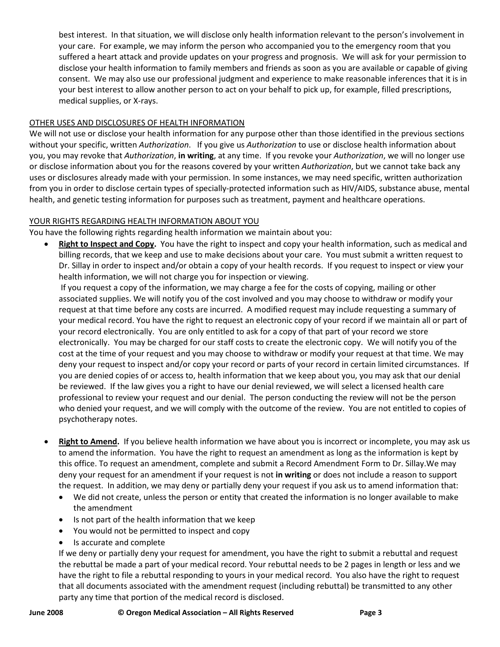best interest. In that situation, we will disclose only health information relevant to the person's involvement in your care. For example, we may inform the person who accompanied you to the emergency room that you suffered a heart attack and provide updates on your progress and prognosis. We will ask for your permission to disclose your health information to family members and friends as soon as you are available or capable of giving consent. We may also use our professional judgment and experience to make reasonable inferences that it is in your best interest to allow another person to act on your behalf to pick up, for example, filled prescriptions, medical supplies, or X-rays.

# OTHER USES AND DISCLOSURES OF HEALTH INFORMATION

We will not use or disclose your health information for any purpose other than those identified in the previous sections without your specific, written *Authorization*. If you give us *Authorization* to use or disclose health information about you, you may revoke that *Authorization*, **in writing**, at any time. If you revoke your *Authorization*, we will no longer use or disclose information about you for the reasons covered by your written *Authorization*, but we cannot take back any uses or disclosures already made with your permission. In some instances, we may need specific, written authorization from you in order to disclose certain types of specially-protected information such as HIV/AIDS, substance abuse, mental health, and genetic testing information for purposes such as treatment, payment and healthcare operations.

## YOUR RIGHTS REGARDING HEALTH INFORMATION ABOUT YOU

You have the following rights regarding health information we maintain about you:

• **Right to Inspect and Copy.** You have the right to inspect and copy your health information, such as medical and billing records, that we keep and use to make decisions about your care. You must submit a written request to Dr. Sillay in order to inspect and/or obtain a copy of your health records. If you request to inspect or view your health information, we will not charge you for inspection or viewing.

If you request a copy of the information, we may charge a fee for the costs of copying, mailing or other associated supplies. We will notify you of the cost involved and you may choose to withdraw or modify your request at that time before any costs are incurred. A modified request may include requesting a summary of your medical record. You have the right to request an electronic copy of your record if we maintain all or part of your record electronically. You are only entitled to ask for a copy of that part of your record we store electronically. You may be charged for our staff costs to create the electronic copy. We will notify you of the cost at the time of your request and you may choose to withdraw or modify your request at that time. We may deny your request to inspect and/or copy your record or parts of your record in certain limited circumstances. If you are denied copies of or access to, health information that we keep about you, you may ask that our denial be reviewed. If the law gives you a right to have our denial reviewed, we will select a licensed health care professional to review your request and our denial. The person conducting the review will not be the person who denied your request, and we will comply with the outcome of the review. You are not entitled to copies of psychotherapy notes.

- **Right to Amend.** If you believe health information we have about you is incorrect or incomplete, you may ask us to amend the information. You have the right to request an amendment as long as the information is kept by this office. To request an amendment, complete and submit a Record Amendment Form to Dr. Sillay.We may deny your request for an amendment if your request is not **in writing** or does not include a reason to support the request. In addition, we may deny or partially deny your request if you ask us to amend information that:
	- We did not create, unless the person or entity that created the information is no longer available to make the amendment
	- Is not part of the health information that we keep
	- You would not be permitted to inspect and copy
	- Is accurate and complete

If we deny or partially deny your request for amendment, you have the right to submit a rebuttal and request the rebuttal be made a part of your medical record. Your rebuttal needs to be 2 pages in length or less and we have the right to file a rebuttal responding to yours in your medical record. You also have the right to request that all documents associated with the amendment request (including rebuttal) be transmitted to any other party any time that portion of the medical record is disclosed.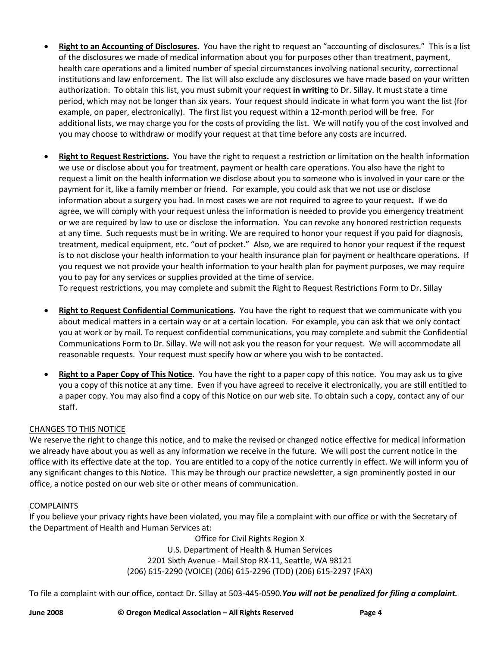- **Right to an Accounting of Disclosures.** You have the right to request an "accounting of disclosures." This is a list of the disclosures we made of medical information about you for purposes other than treatment, payment, health care operations and a limited number of special circumstances involving national security, correctional institutions and law enforcement. The list will also exclude any disclosures we have made based on your written authorization. To obtain this list, you must submit your request **in writing** to Dr. Sillay. It must state a time period, which may not be longer than six years. Your request should indicate in what form you want the list (for example, on paper, electronically). The first list you request within a 12-month period will be free. For additional lists, we may charge you for the costs of providing the list. We will notify you of the cost involved and you may choose to withdraw or modify your request at that time before any costs are incurred.
- **Right to Request Restrictions.** You have the right to request a restriction or limitation on the health information we use or disclose about you for treatment, payment or health care operations. You also have the right to request a limit on the health information we disclose about you to someone who is involved in your care or the payment for it, like a family member or friend. For example, you could ask that we not use or disclose information about a surgery you had. In most cases we are not required to agree to your request*.*If we do agree, we will comply with your request unless the information is needed to provide you emergency treatment or we are required by law to use or disclose the information. You can revoke any honored restriction requests at any time. Such requests must be in writing. We are required to honor your request if you paid for diagnosis, treatment, medical equipment, etc. "out of pocket." Also, we are required to honor your request if the request is to not disclose your health information to your health insurance plan for payment or healthcare operations. If you request we not provide your health information to your health plan for payment purposes, we may require you to pay for any services or supplies provided at the time of service.

To request restrictions, you may complete and submit the Right to Request Restrictions Form to Dr. Sillay

- **Right to Request Confidential Communications.** You have the right to request that we communicate with you about medical matters in a certain way or at a certain location. For example, you can ask that we only contact you at work or by mail. To request confidential communications, you may complete and submit the Confidential Communications Form to Dr. Sillay. We will not ask you the reason for your request. We will accommodate all reasonable requests. Your request must specify how or where you wish to be contacted.
- **Right to a Paper Copy of This Notice.** You have the right to a paper copy of this notice. You may ask us to give you a copy of this notice at any time. Even if you have agreed to receive it electronically, you are still entitled to a paper copy. You may also find a copy of this Notice on our web site. To obtain such a copy, contact any of our staff.

## CHANGES TO THIS NOTICE

We reserve the right to change this notice, and to make the revised or changed notice effective for medical information we already have about you as well as any information we receive in the future. We will post the current notice in the office with its effective date at the top. You are entitled to a copy of the notice currently in effect. We will inform you of any significant changes to this Notice. This may be through our practice newsletter, a sign prominently posted in our office, a notice posted on our web site or other means of communication.

## COMPLAINTS

If you believe your privacy rights have been violated, you may file a complaint with our office or with the Secretary of the Department of Health and Human Services at:

> Office for Civil Rights Region X U.S. Department of Health & Human Services 2201 Sixth Avenue - Mail Stop RX-11, Seattle, WA 98121 (206) 615-2290 (VOICE) (206) 615-2296 (TDD) (206) 615-2297 (FAX)

To file a complaint with our office, contact Dr. Sillay at 503-445-0590*.You will not be penalized for filing a complaint.*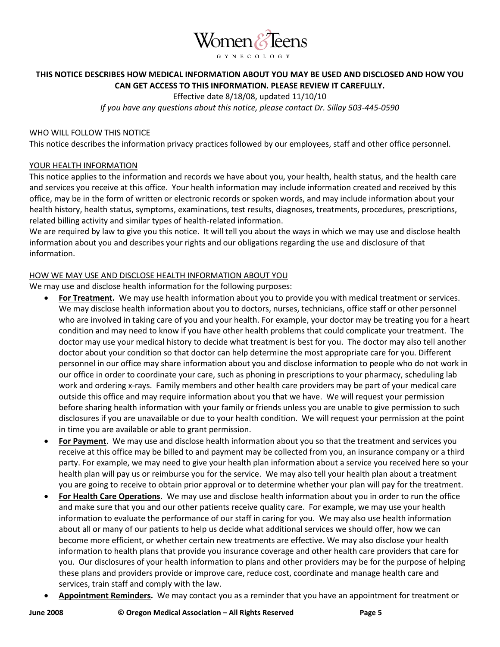

# **THIS NOTICE DESCRIBES HOW MEDICAL INFORMATION ABOUT YOU MAY BE USED AND DISCLOSED AND HOW YOU CAN GET ACCESS TO THIS INFORMATION. PLEASE REVIEW IT CAREFULLY.**

Effective date 8/18/08, updated 11/10/10

*If you have any questions about this notice, please contact Dr. Sillay 503-445-0590*

### WHO WILL FOLLOW THIS NOTICE

This notice describes the information privacy practices followed by our employees, staff and other office personnel.

### YOUR HEALTH INFORMATION

This notice applies to the information and records we have about you, your health, health status, and the health care and services you receive at this office. Your health information may include information created and received by this office, may be in the form of written or electronic records or spoken words, and may include information about your health history, health status, symptoms, examinations, test results, diagnoses, treatments, procedures, prescriptions, related billing activity and similar types of health-related information.

We are required by law to give you this notice. It will tell you about the ways in which we may use and disclose health information about you and describes your rights and our obligations regarding the use and disclosure of that information.

### HOW WE MAY USE AND DISCLOSE HEALTH INFORMATION ABOUT YOU

We may use and disclose health information for the following purposes:

- **For Treatment.** We may use health information about you to provide you with medical treatment or services. We may disclose health information about you to doctors, nurses, technicians, office staff or other personnel who are involved in taking care of you and your health. For example, your doctor may be treating you for a heart condition and may need to know if you have other health problems that could complicate your treatment. The doctor may use your medical history to decide what treatment is best for you. The doctor may also tell another doctor about your condition so that doctor can help determine the most appropriate care for you. Different personnel in our office may share information about you and disclose information to people who do not work in our office in order to coordinate your care, such as phoning in prescriptions to your pharmacy, scheduling lab work and ordering x-rays. Family members and other health care providers may be part of your medical care outside this office and may require information about you that we have. We will request your permission before sharing health information with your family or friends unless you are unable to give permission to such disclosures if you are unavailable or due to your health condition. We will request your permission at the point in time you are available or able to grant permission.
- **For Payment**.We may use and disclose health information about you so that the treatment and services you receive at this office may be billed to and payment may be collected from you, an insurance company or a third party. For example, we may need to give your health plan information about a service you received here so your health plan will pay us or reimburse you for the service. We may also tell your health plan about a treatment you are going to receive to obtain prior approval or to determine whether your plan will pay for the treatment.
- **For Health Care Operations.** We may use and disclose health information about you in order to run the office and make sure that you and our other patients receive quality care. For example, we may use your health information to evaluate the performance of our staff in caring for you. We may also use health information about all or many of our patients to help us decide what additional services we should offer, how we can become more efficient, or whether certain new treatments are effective. We may also disclose your health information to health plans that provide you insurance coverage and other health care providers that care for you. Our disclosures of your health information to plans and other providers may be for the purpose of helping these plans and providers provide or improve care, reduce cost, coordinate and manage health care and services, train staff and comply with the law.
- **Appointment Reminders.** We may contact you as a reminder that you have an appointment for treatment or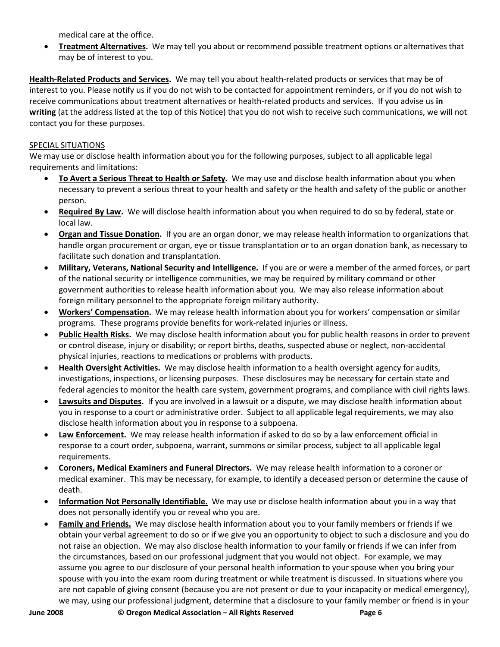medical care at the office.

• **Treatment Alternatives.** We may tell you about or recommend possible treatment options or alternatives that may be of interest to you.

**Health-Related Products and Services.** We may tell you about health-related products or services that may be of interest to you. Please notify us if you do not wish to be contacted for appointment reminders, or if you do not wish to receive communications about treatment alternatives or health-related products and services. If you advise us **in writing** (at the address listed at the top of this Notice) that you do not wish to receive such communications, we will not contact you for these purposes.

# SPECIAL SITUATIONS

We may use or disclose health information about you for the following purposes, subject to all applicable legal requirements and limitations:

- **To Avert a Serious Threat to Health or Safety.** We may use and disclose health information about you when necessary to prevent a serious threat to your health and safety or the health and safety of the public or another person.
- **Required By Law.** We will disclose health information about you when required to do so by federal, state or local law.
- **Organ and Tissue Donation.** If you are an organ donor, we may release health information to organizations that handle organ procurement or organ, eye or tissue transplantation or to an organ donation bank, as necessary to facilitate such donation and transplantation.
- **Military, Veterans, National Security and Intelligence.** If you are or were a member of the armed forces, or part of the national security or intelligence communities, we may be required by military command or other government authorities to release health information about you. We may also release information about foreign military personnel to the appropriate foreign military authority.
- **Workers' Compensation.** We may release health information about you for workers' compensation or similar programs. These programs provide benefits for work-related injuries or illness.
- **Public Health Risks.** We may disclose health information about you for public health reasons in order to prevent or control disease, injury or disability; or report births, deaths, suspected abuse or neglect, non-accidental physical injuries, reactions to medications or problems with products.
- **Health Oversight Activities.** We may disclose health information to a health oversight agency for audits, investigations, inspections, or licensing purposes. These disclosures may be necessary for certain state and federal agencies to monitor the health care system, government programs, and compliance with civil rights laws.
- **Lawsuits and Disputes.** If you are involved in a lawsuit or a dispute, we may disclose health information about you in response to a court or administrative order. Subject to all applicable legal requirements, we may also disclose health information about you in response to a subpoena.
- **Law Enforcement.** We may release health information if asked to do so by a law enforcement official in response to a court order, subpoena, warrant, summons or similar process, subject to all applicable legal requirements.
- **Coroners, Medical Examiners and Funeral Directors.** We may release health information to a coroner or medical examiner. This may be necessary, for example, to identify a deceased person or determine the cause of death.
- **Information Not Personally Identifiable.** We may use or disclose health information about you in a way that does not personally identify you or reveal who you are.
- **Family and Friends.** We may disclose health information about you to your family members or friends if we obtain your verbal agreement to do so or if we give you an opportunity to object to such a disclosure and you do not raise an objection. We may also disclose health information to your family or friends if we can infer from the circumstances, based on our professional judgment that you would not object. For example, we may assume you agree to our disclosure of your personal health information to your spouse when you bring your spouse with you into the exam room during treatment or while treatment is discussed. In situations where you are not capable of giving consent (because you are not present or due to your incapacity or medical emergency), we may, using our professional judgment, determine that a disclosure to your family member or friend is in your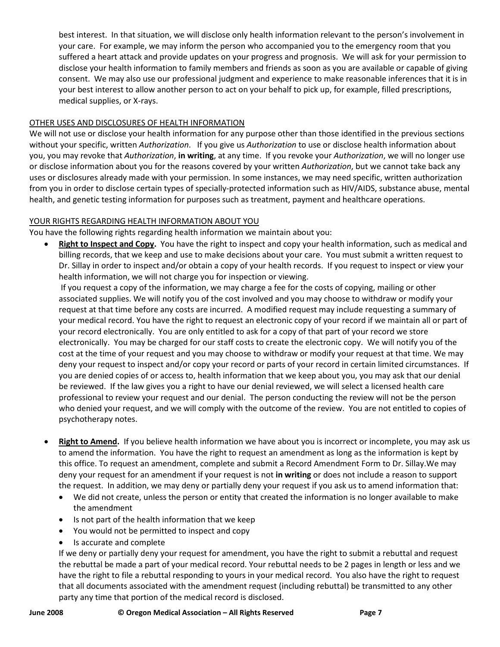best interest. In that situation, we will disclose only health information relevant to the person's involvement in your care. For example, we may inform the person who accompanied you to the emergency room that you suffered a heart attack and provide updates on your progress and prognosis. We will ask for your permission to disclose your health information to family members and friends as soon as you are available or capable of giving consent. We may also use our professional judgment and experience to make reasonable inferences that it is in your best interest to allow another person to act on your behalf to pick up, for example, filled prescriptions, medical supplies, or X-rays.

# OTHER USES AND DISCLOSURES OF HEALTH INFORMATION

We will not use or disclose your health information for any purpose other than those identified in the previous sections without your specific, written *Authorization*. If you give us *Authorization* to use or disclose health information about you, you may revoke that *Authorization*, **in writing**, at any time. If you revoke your *Authorization*, we will no longer use or disclose information about you for the reasons covered by your written *Authorization*, but we cannot take back any uses or disclosures already made with your permission. In some instances, we may need specific, written authorization from you in order to disclose certain types of specially-protected information such as HIV/AIDS, substance abuse, mental health, and genetic testing information for purposes such as treatment, payment and healthcare operations.

## YOUR RIGHTS REGARDING HEALTH INFORMATION ABOUT YOU

You have the following rights regarding health information we maintain about you:

• **Right to Inspect and Copy.** You have the right to inspect and copy your health information, such as medical and billing records, that we keep and use to make decisions about your care. You must submit a written request to Dr. Sillay in order to inspect and/or obtain a copy of your health records. If you request to inspect or view your health information, we will not charge you for inspection or viewing.

If you request a copy of the information, we may charge a fee for the costs of copying, mailing or other associated supplies. We will notify you of the cost involved and you may choose to withdraw or modify your request at that time before any costs are incurred. A modified request may include requesting a summary of your medical record. You have the right to request an electronic copy of your record if we maintain all or part of your record electronically. You are only entitled to ask for a copy of that part of your record we store electronically. You may be charged for our staff costs to create the electronic copy. We will notify you of the cost at the time of your request and you may choose to withdraw or modify your request at that time. We may deny your request to inspect and/or copy your record or parts of your record in certain limited circumstances. If you are denied copies of or access to, health information that we keep about you, you may ask that our denial be reviewed. If the law gives you a right to have our denial reviewed, we will select a licensed health care professional to review your request and our denial. The person conducting the review will not be the person who denied your request, and we will comply with the outcome of the review. You are not entitled to copies of psychotherapy notes.

- **Right to Amend.** If you believe health information we have about you is incorrect or incomplete, you may ask us to amend the information. You have the right to request an amendment as long as the information is kept by this office. To request an amendment, complete and submit a Record Amendment Form to Dr. Sillay.We may deny your request for an amendment if your request is not **in writing** or does not include a reason to support the request. In addition, we may deny or partially deny your request if you ask us to amend information that:
	- We did not create, unless the person or entity that created the information is no longer available to make the amendment
	- Is not part of the health information that we keep
	- You would not be permitted to inspect and copy
	- Is accurate and complete

If we deny or partially deny your request for amendment, you have the right to submit a rebuttal and request the rebuttal be made a part of your medical record. Your rebuttal needs to be 2 pages in length or less and we have the right to file a rebuttal responding to yours in your medical record. You also have the right to request that all documents associated with the amendment request (including rebuttal) be transmitted to any other party any time that portion of the medical record is disclosed.